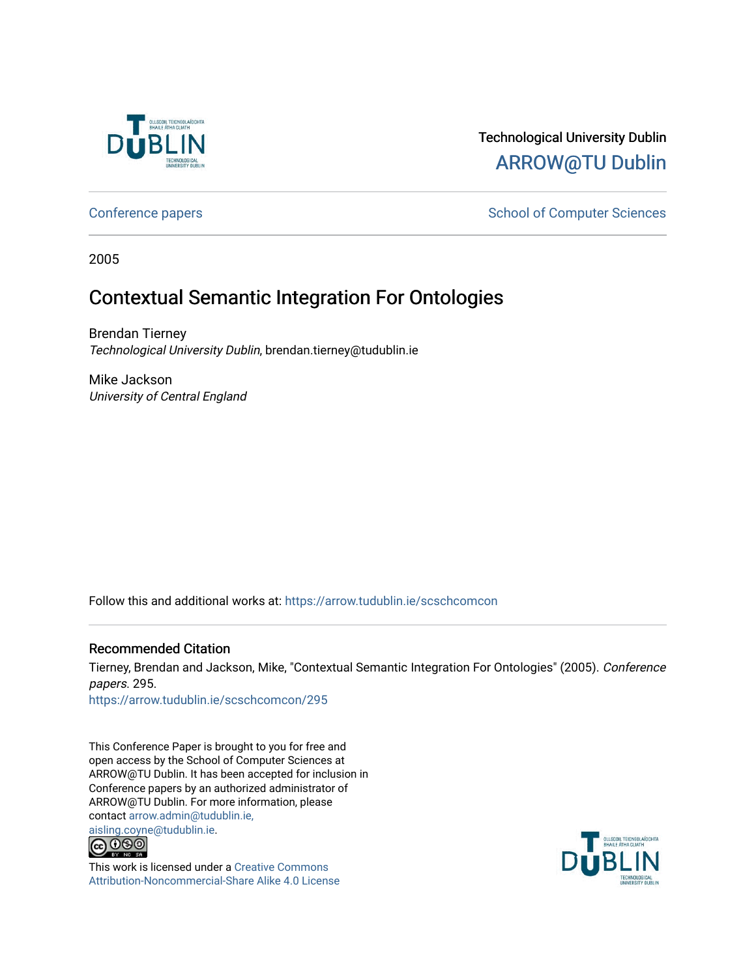

# Technological University Dublin [ARROW@TU Dublin](https://arrow.tudublin.ie/)

[Conference papers](https://arrow.tudublin.ie/scschcomcon) **School of Computer Sciences** School of Computer Sciences

2005

# Contextual Semantic Integration For Ontologies

Brendan Tierney Technological University Dublin, brendan.tierney@tudublin.ie

Mike Jackson University of Central England

Follow this and additional works at: [https://arrow.tudublin.ie/scschcomcon](https://arrow.tudublin.ie/scschcomcon?utm_source=arrow.tudublin.ie%2Fscschcomcon%2F295&utm_medium=PDF&utm_campaign=PDFCoverPages)

### Recommended Citation

Tierney, Brendan and Jackson, Mike, "Contextual Semantic Integration For Ontologies" (2005). Conference papers. 295.

[https://arrow.tudublin.ie/scschcomcon/295](https://arrow.tudublin.ie/scschcomcon/295?utm_source=arrow.tudublin.ie%2Fscschcomcon%2F295&utm_medium=PDF&utm_campaign=PDFCoverPages) 

This Conference Paper is brought to you for free and open access by the School of Computer Sciences at ARROW@TU Dublin. It has been accepted for inclusion in Conference papers by an authorized administrator of ARROW@TU Dublin. For more information, please contact [arrow.admin@tudublin.ie,](mailto:arrow.admin@tudublin.ie,%20aisling.coyne@tudublin.ie) 



This work is licensed under a [Creative Commons](http://creativecommons.org/licenses/by-nc-sa/4.0/) [Attribution-Noncommercial-Share Alike 4.0 License](http://creativecommons.org/licenses/by-nc-sa/4.0/)

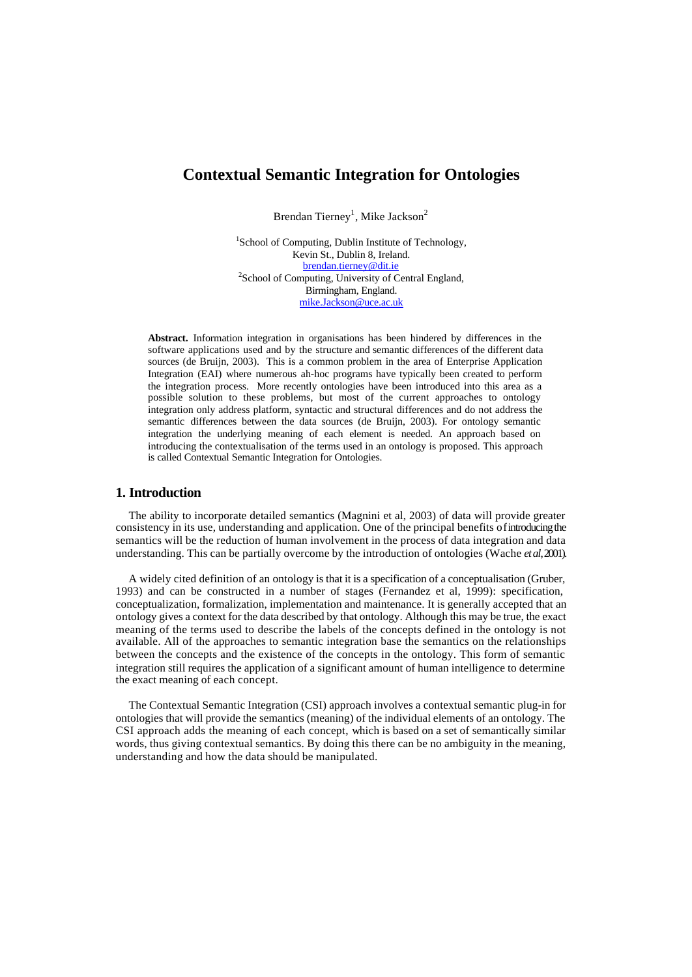## **Contextual Semantic Integration for Ontologies**

Brendan Tierney<sup>1</sup>, Mike Jackson<sup>2</sup>

<sup>1</sup>School of Computing, Dublin Institute of Technology, Kevin St., Dublin 8, Ireland. brendan.tierney@dit.ie <sup>2</sup>School of Computing, University of Central England, Birmingham, England. mike.Jackson@uce.ac.uk

**Abstract.** Information integration in organisations has been hindered by differences in the software applications used and by the structure and semantic differences of the different data sources (de Bruijn, 2003). This is a common problem in the area of Enterprise Application Integration (EAI) where numerous ah-hoc programs have typically been created to perform the integration process. More recently ontologies have been introduced into this area as a possible solution to these problems, but most of the current approaches to ontology integration only address platform, syntactic and structural differences and do not address the semantic differences between the data sources (de Bruijn, 2003). For ontology semantic integration the underlying meaning of each element is needed. An approach based on introducing the contextualisation of the terms used in an ontology is proposed. This approach is called Contextual Semantic Integration for Ontologies.

#### **1. Introduction**

The ability to incorporate detailed semantics (Magnini et al, 2003) of data will provide greater consistency in its use, understanding and application. One of the principal benefits of introducing the semantics will be the reduction of human involvement in the process of data integration and data understanding. This can be partially overcome by the introduction of ontologies (Wache *et al*, 2001).

A widely cited definition of an ontology is that it is a specification of a conceptualisation (Gruber, 1993) and can be constructed in a number of stages (Fernandez et al, 1999): specification, conceptualization, formalization, implementation and maintenance. It is generally accepted that an ontology gives a context for the data described by that ontology. Although this may be true, the exact meaning of the terms used to describe the labels of the concepts defined in the ontology is not available. All of the approaches to semantic integration base the semantics on the relationships between the concepts and the existence of the concepts in the ontology. This form of semantic integration still requires the application of a significant amount of human intelligence to determine the exact meaning of each concept.

The Contextual Semantic Integration (CSI) approach involves a contextual semantic plug-in for ontologies that will provide the semantics (meaning) of the individual elements of an ontology. The CSI approach adds the meaning of each concept, which is based on a set of semantically similar words, thus giving contextual semantics. By doing this there can be no ambiguity in the meaning, understanding and how the data should be manipulated.